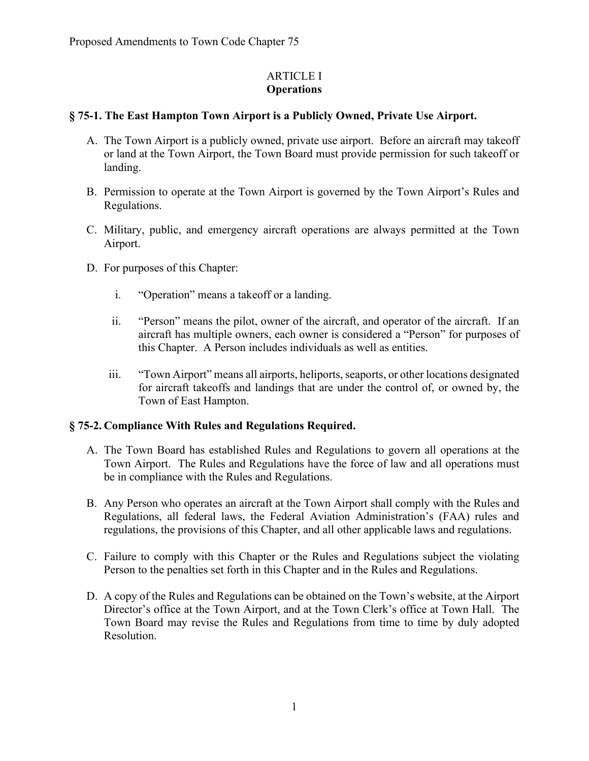#### ARTICLE I **Operations**

# **§ 75-1. The East Hampton Town Airport is a Publicly Owned, Private Use Airport.**

- A. The Town Airport is a publicly owned, private use airport. Before an aircraft may takeoff or land at the Town Airport, the Town Board must provide permission for such takeoff or landing.
- B. Permission to operate at the Town Airport is governed by the Town Airport's Rules and Regulations.
- C. Military, public, and emergency aircraft operations are always permitted at the Town Airport.
- D. For purposes of this Chapter:
	- i. "Operation" means a takeoff or a landing.
	- ii. "Person" means the pilot, owner of the aircraft, and operator of the aircraft. If an aircraft has multiple owners, each owner is considered a "Person" for purposes of this Chapter. A Person includes individuals as well as entities.
	- iii. "Town Airport" means all airports, heliports, seaports, or other locations designated for aircraft takeoffs and landings that are under the control of, or owned by, the Town of East Hampton.

### **§ 75-2. Compliance With Rules and Regulations Required.**

- A. The Town Board has established Rules and Regulations to govern all operations at the Town Airport. The Rules and Regulations have the force of law and all operations must be in compliance with the Rules and Regulations.
- B. Any Person who operates an aircraft at the Town Airport shall comply with the Rules and Regulations, all federal laws, the Federal Aviation Administration's (FAA) rules and regulations, the provisions of this Chapter, and all other applicable laws and regulations.
- C. Failure to comply with this Chapter or the Rules and Regulations subject the violating Person to the penalties set forth in this Chapter and in the Rules and Regulations.
- D. A copy of the Rules and Regulations can be obtained on the Town's website, at the Airport Director's office at the Town Airport, and at the Town Clerk's office at Town Hall. The Town Board may revise the Rules and Regulations from time to time by duly adopted Resolution.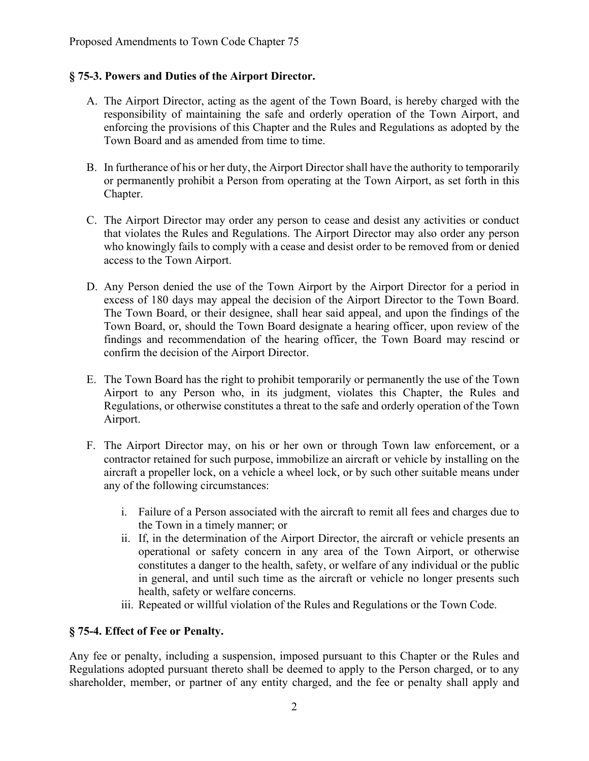#### **§ 75-3. Powers and Duties of the Airport Director.**

- A. The Airport Director, acting as the agent of the Town Board, is hereby charged with the responsibility of maintaining the safe and orderly operation of the Town Airport, and enforcing the provisions of this Chapter and the Rules and Regulations as adopted by the Town Board and as amended from time to time.
- B. In furtherance of his or her duty, the Airport Director shall have the authority to temporarily or permanently prohibit a Person from operating at the Town Airport, as set forth in this Chapter.
- C. The Airport Director may order any person to cease and desist any activities or conduct that violates the Rules and Regulations. The Airport Director may also order any person who knowingly fails to comply with a cease and desist order to be removed from or denied access to the Town Airport.
- D. Any Person denied the use of the Town Airport by the Airport Director for a period in excess of 180 days may appeal the decision of the Airport Director to the Town Board. The Town Board, or their designee, shall hear said appeal, and upon the findings of the Town Board, or, should the Town Board designate a hearing officer, upon review of the findings and recommendation of the hearing officer, the Town Board may rescind or confirm the decision of the Airport Director.
- E. The Town Board has the right to prohibit temporarily or permanently the use of the Town Airport to any Person who, in its judgment, violates this Chapter, the Rules and Regulations, or otherwise constitutes a threat to the safe and orderly operation of the Town Airport.
- F. The Airport Director may, on his or her own or through Town law enforcement, or a contractor retained for such purpose, immobilize an aircraft or vehicle by installing on the aircraft a propeller lock, on a vehicle a wheel lock, or by such other suitable means under any of the following circumstances:
	- i. Failure of a Person associated with the aircraft to remit all fees and charges due to the Town in a timely manner; or
	- ii. If, in the determination of the Airport Director, the aircraft or vehicle presents an operational or safety concern in any area of the Town Airport, or otherwise constitutes a danger to the health, safety, or welfare of any individual or the public in general, and until such time as the aircraft or vehicle no longer presents such health, safety or welfare concerns.
	- iii. Repeated or willful violation of the Rules and Regulations or the Town Code.

### **§ 75-4. Effect of Fee or Penalty.**

Any fee or penalty, including a suspension, imposed pursuant to this Chapter or the Rules and Regulations adopted pursuant thereto shall be deemed to apply to the Person charged, or to any shareholder, member, or partner of any entity charged, and the fee or penalty shall apply and